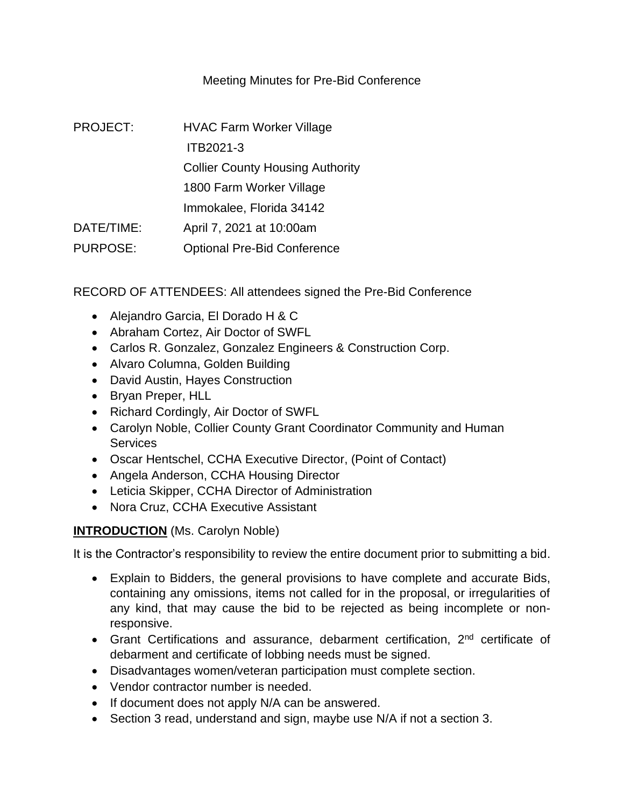# Meeting Minutes for Pre-Bid Conference

| <b>PROJECT:</b> | <b>HVAC Farm Worker Village</b>         |  |  |  |
|-----------------|-----------------------------------------|--|--|--|
|                 | ITB2021-3                               |  |  |  |
|                 | <b>Collier County Housing Authority</b> |  |  |  |
|                 | 1800 Farm Worker Village                |  |  |  |
|                 | Immokalee, Florida 34142                |  |  |  |
| DATE/TIME:      | April 7, 2021 at 10:00am                |  |  |  |
| <b>PURPOSE:</b> | <b>Optional Pre-Bid Conference</b>      |  |  |  |

RECORD OF ATTENDEES: All attendees signed the Pre-Bid Conference

- Alejandro Garcia, El Dorado H & C
- Abraham Cortez, Air Doctor of SWFL
- Carlos R. Gonzalez, Gonzalez Engineers & Construction Corp.
- Alvaro Columna, Golden Building
- David Austin, Hayes Construction
- Bryan Preper, HLL
- Richard Cordingly, Air Doctor of SWFL
- Carolyn Noble, Collier County Grant Coordinator Community and Human **Services**
- Oscar Hentschel, CCHA Executive Director, (Point of Contact)
- Angela Anderson, CCHA Housing Director
- Leticia Skipper, CCHA Director of Administration
- Nora Cruz, CCHA Executive Assistant

# **INTRODUCTION** (Ms. Carolyn Noble)

It is the Contractor's responsibility to review the entire document prior to submitting a bid.

- Explain to Bidders, the general provisions to have complete and accurate Bids, containing any omissions, items not called for in the proposal, or irregularities of any kind, that may cause the bid to be rejected as being incomplete or nonresponsive.
- Grant Certifications and assurance, debarment certification, 2<sup>nd</sup> certificate of debarment and certificate of lobbing needs must be signed.
- Disadvantages women/veteran participation must complete section.
- Vendor contractor number is needed.
- If document does not apply N/A can be answered.
- Section 3 read, understand and sign, maybe use N/A if not a section 3.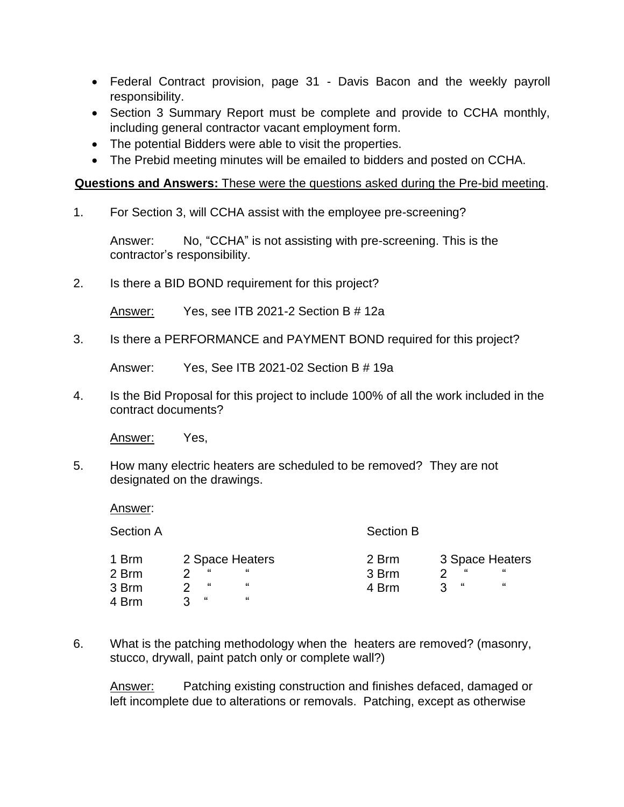- Federal Contract provision, page 31 Davis Bacon and the weekly payroll responsibility.
- Section 3 Summary Report must be complete and provide to CCHA monthly, including general contractor vacant employment form.
- The potential Bidders were able to visit the properties.
- The Prebid meeting minutes will be emailed to bidders and posted on CCHA.

#### **Questions and Answers:** These were the questions asked during the Pre-bid meeting.

1. For Section 3, will CCHA assist with the employee pre-screening?

Answer: No, "CCHA" is not assisting with pre-screening. This is the contractor's responsibility.

2. Is there a BID BOND requirement for this project?

Answer: Yes, see ITB 2021-2 Section B # 12a

3. Is there a PERFORMANCE and PAYMENT BOND required for this project?

Answer: Yes, See ITB 2021-02 Section B # 19a

4. Is the Bid Proposal for this project to include 100% of all the work included in the contract documents?

Answer: Yes,

5. How many electric heaters are scheduled to be removed? They are not designated on the drawings.

Answer:

| <b>Section A</b> |            |                      | <b>Section B</b> |           |                      |
|------------------|------------|----------------------|------------------|-----------|----------------------|
| 1 Brm<br>2 Brm   | "          | 2 Space Heaters<br>" | 2 Brm<br>3 Brm   | "<br>າ    | 3 Space Heaters<br>" |
| 3 Brm            | "          | "                    | 4 Brm            | - 66<br>ર | "                    |
| 4 Brm            | $\epsilon$ | "                    |                  |           |                      |

6. What is the patching methodology when the heaters are removed? (masonry, stucco, drywall, paint patch only or complete wall?)

Answer: Patching existing construction and finishes defaced, damaged or left incomplete due to alterations or removals. Patching, except as otherwise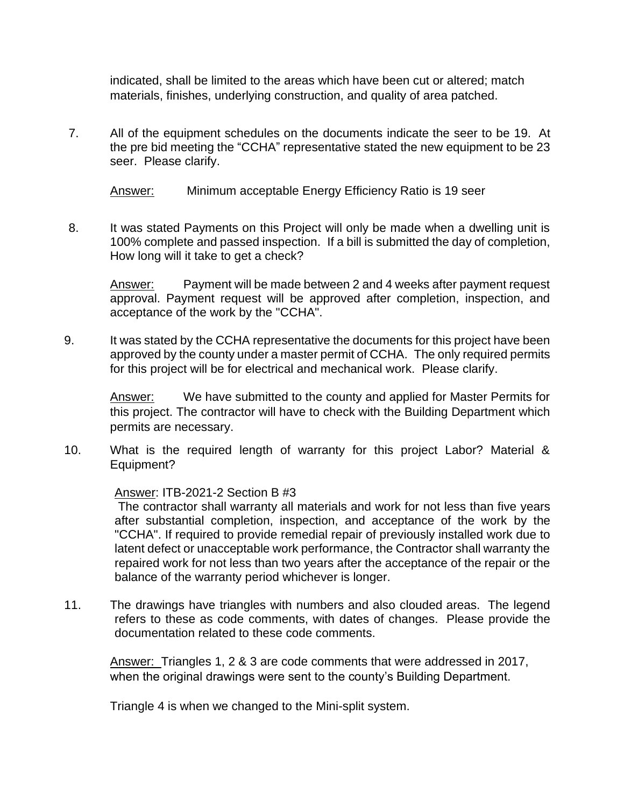indicated, shall be limited to the areas which have been cut or altered; match materials, finishes, underlying construction, and quality of area patched.

7. All of the equipment schedules on the documents indicate the seer to be 19. At the pre bid meeting the "CCHA" representative stated the new equipment to be 23 seer. Please clarify.

Answer: Minimum acceptable Energy Efficiency Ratio is 19 seer

8. It was stated Payments on this Project will only be made when a dwelling unit is 100% complete and passed inspection. If a bill is submitted the day of completion, How long will it take to get a check?

Answer: Payment will be made between 2 and 4 weeks after payment request approval. Payment request will be approved after completion, inspection, and acceptance of the work by the "CCHA".

9. It was stated by the CCHA representative the documents for this project have been approved by the county under a master permit of CCHA. The only required permits for this project will be for electrical and mechanical work. Please clarify.

Answer: We have submitted to the county and applied for Master Permits for this project. The contractor will have to check with the Building Department which permits are necessary.

10. What is the required length of warranty for this project Labor? Material & Equipment?

Answer: ITB-2021-2 Section B #3

The contractor shall warranty all materials and work for not less than five years after substantial completion, inspection, and acceptance of the work by the "CCHA". If required to provide remedial repair of previously installed work due to latent defect or unacceptable work performance, the Contractor shall warranty the repaired work for not less than two years after the acceptance of the repair or the balance of the warranty period whichever is longer.

11. The drawings have triangles with numbers and also clouded areas. The legend refers to these as code comments, with dates of changes. Please provide the documentation related to these code comments.

Answer: Triangles 1, 2 & 3 are code comments that were addressed in 2017, when the original drawings were sent to the county's Building Department.

Triangle 4 is when we changed to the Mini-split system.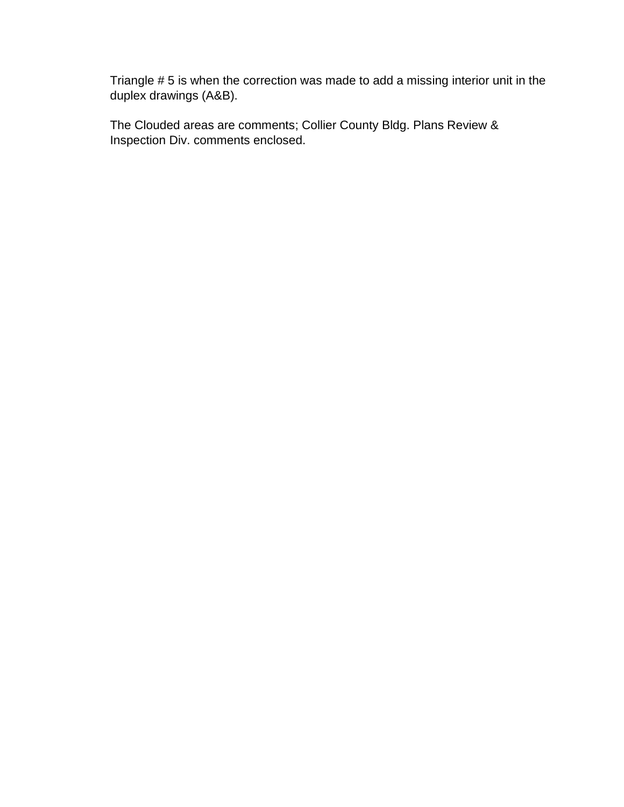Triangle # 5 is when the correction was made to add a missing interior unit in the duplex drawings (A&B).

The Clouded areas are comments; Collier County Bldg. Plans Review & Inspection Div. comments enclosed.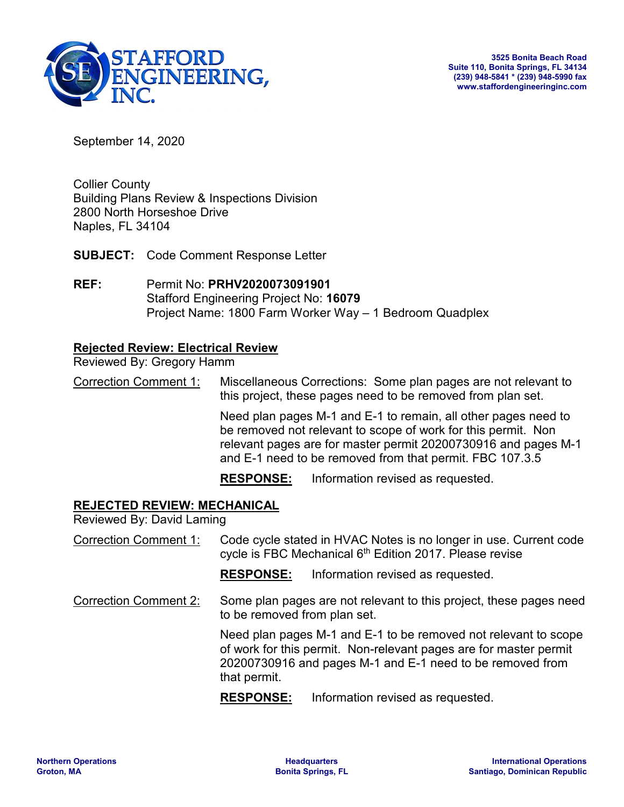

September 14, 2020

Collier County Building Plans Review & Inspections Division 2800 North Horseshoe Drive Naples, FL 34104

**SUBJECT:** Code Comment Response Letter

**REF:** Permit No: **PRHV2020073091901** Stafford Engineering Project No: **16079** Project Name: 1800 Farm Worker Way – 1 Bedroom Quadplex

### **Rejected Review: Electrical Review**

Reviewed By: Gregory Hamm

Correction Comment 1: Miscellaneous Corrections: Some plan pages are not relevant to this project, these pages need to be removed from plan set.

> Need plan pages M-1 and E-1 to remain, all other pages need to be removed not relevant to scope of work for this permit. Non relevant pages are for master permit 20200730916 and pages M-1 and E-1 need to be removed from that permit. FBC 107.3.5

**RESPONSE:** Information revised as requested.

#### **REJECTED REVIEW: MECHANICAL**

Reviewed By: David Laming

Correction Comment 1: Code cycle stated in HVAC Notes is no longer in use. Current code cycle is FBC Mechanical 6<sup>th</sup> Edition 2017. Please revise

**RESPONSE:** Information revised as requested.

Correction Comment 2: Some plan pages are not relevant to this project, these pages need to be removed from plan set.

> Need plan pages M-1 and E-1 to be removed not relevant to scope of work for this permit. Non-relevant pages are for master permit 20200730916 and pages M-1 and E-1 need to be removed from that permit.

**RESPONSE:** Information revised as requested.